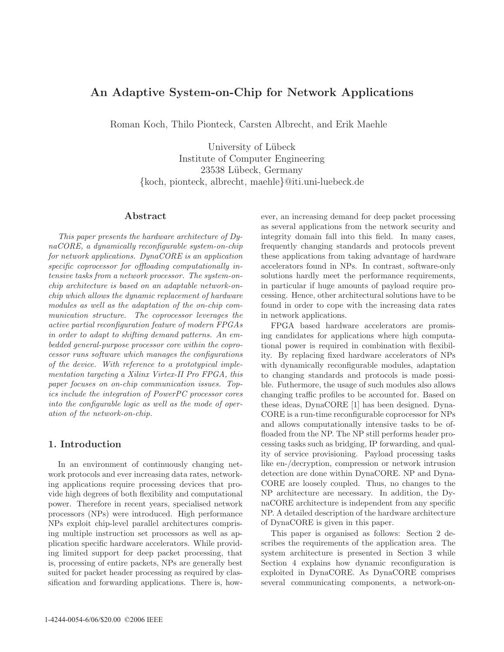# **An Adaptive System-on-Chip for Network Applications**

Roman Koch, Thilo Pionteck, Carsten Albrecht, and Erik Maehle

University of Lübeck Institute of Computer Engineering 23538 Lübeck, Germany {koch, pionteck, albrecht, maehle}@iti.uni-luebeck.de

## **Abstract**

This paper presents the hardware architecture of DynaCORE, a dynamically reconfigurable system-on-chip for network applications. DynaCORE is an application specific coprocessor for offloading computationally intensive tasks from a network processor. The system-onchip architecture is based on an adaptable network-onchip which allows the dynamic replacement of hardware modules as well as the adaptation of the on-chip communication structure. The coprocessor leverages the active partial reconfiguration feature of modern FPGAs in order to adapt to shifting demand patterns. An embedded general-purpose processor core within the coprocessor runs software which manages the configurations of the device. With reference to a prototypical implementation targeting a Xilinx Virtex-II Pro FPGA, this paper focuses on on-chip communication issues. Topics include the integration of PowerPC processor cores into the configurable logic as well as the mode of operation of the network-on-chip.

# **1. Introduction**

In an environment of continuously changing network protocols and ever increasing data rates, networking applications require processing devices that provide high degrees of both flexibility and computational power. Therefore in recent years, specialised network processors (NPs) were introduced. High performance NPs exploit chip-level parallel architectures comprising multiple instruction set processors as well as application specific hardware accelerators. While providing limited support for deep packet processing, that is, processing of entire packets, NPs are generally best suited for packet header processing as required by classification and forwarding applications. There is, however, an increasing demand for deep packet processing as several applications from the network security and integrity domain fall into this field. In many cases, frequently changing standards and protocols prevent these applications from taking advantage of hardware accelerators found in NPs. In contrast, software-only solutions hardly meet the performance requirements, in particular if huge amounts of payload require processing. Hence, other architectural solutions have to be found in order to cope with the increasing data rates in network applications.

FPGA based hardware accelerators are promising candidates for applications where high computational power is required in combination with flexibility. By replacing fixed hardware accelerators of NPs with dynamically reconfigurable modules, adaptation to changing standards and protocols is made possible. Futhermore, the usage of such modules also allows changing traffic profiles to be accounted for. Based on these ideas, DynaCORE [1] has been designed. Dyna-CORE is a run-time reconfigurable coprocessor for NPs and allows computationally intensive tasks to be offloaded from the NP. The NP still performs header processing tasks such as bridging, IP forwarding, and quality of service provisioning. Payload processing tasks like en-/decryption, compression or network intrusion detection are done within DynaCORE. NP and Dyna-CORE are loosely coupled. Thus, no changes to the NP architecture are necessary. In addition, the DynaCORE architecture is independent from any specific NP. A detailed description of the hardware architecture of DynaCORE is given in this paper.

This paper is organised as follows: Section 2 describes the requirements of the application area. The system architecture is presented in Section 3 while Section 4 explains how dynamic reconfiguration is exploited in DynaCORE. As DynaCORE comprises several communicating components, a network-on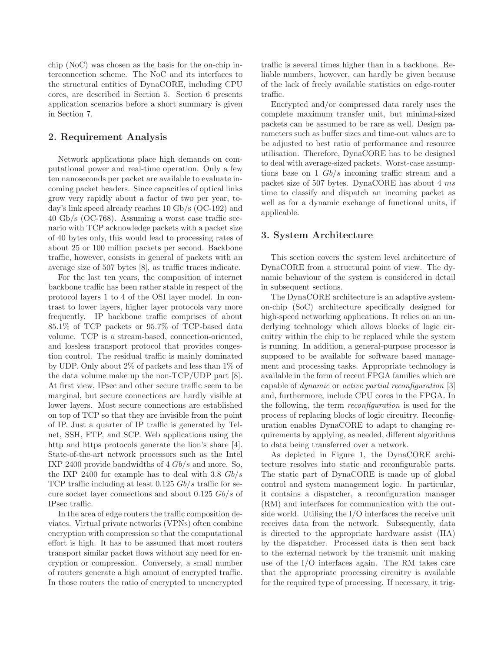chip (NoC) was chosen as the basis for the on-chip interconnection scheme. The NoC and its interfaces to the structural entities of DynaCORE, including CPU cores, are described in Section 5. Section 6 presents application scenarios before a short summary is given in Section 7.

# **2. Requirement Analysis**

Network applications place high demands on computational power and real-time operation. Only a few ten nanoseconds per packet are available to evaluate incoming packet headers. Since capacities of optical links grow very rapidly about a factor of two per year, today's link speed already reaches 10 Gb/s (OC-192) and 40 Gb/s (OC-768). Assuming a worst case traffic scenario with TCP acknowledge packets with a packet size of 40 bytes only, this would lead to processing rates of about 25 or 100 million packets per second. Backbone traffic, however, consists in general of packets with an average size of 507 bytes [8], as traffic traces indicate.

For the last ten years, the composition of internet backbone traffic has been rather stable in respect of the protocol layers 1 to 4 of the OSI layer model. In contrast to lower layers, higher layer protocols vary more frequently. IP backbone traffic comprises of about 85.1% of TCP packets or 95.7% of TCP-based data volume. TCP is a stream-based, connection-oriented, and lossless transport protocol that provides congestion control. The residual traffic is mainly dominated by UDP. Only about 2% of packets and less than 1% of the data volume make up the non-TCP/UDP part [8]. At first view, IPsec and other secure traffic seem to be marginal, but secure connections are hardly visible at lower layers. Most secure connections are established on top of TCP so that they are invisible from the point of IP. Just a quarter of IP traffic is generated by Telnet, SSH, FTP, and SCP. Web applications using the http and https protocols generate the lion's share [4]. State-of-the-art network processors such as the Intel IXP 2400 provide bandwidths of 4 Gb/s and more. So, the IXP 2400 for example has to deal with 3.8  $Gb/s$ TCP traffic including at least  $0.125 \, \text{Gb/s}$  traffic for secure socket layer connections and about 0.125 Gb/s of IPsec traffic.

In the area of edge routers the traffic composition deviates. Virtual private networks (VPNs) often combine encryption with compression so that the computational effort is high. It has to be assumed that most routers transport similar packet flows without any need for encryption or compression. Conversely, a small number of routers generate a high amount of encrypted traffic. In those routers the ratio of encrypted to unencrypted

traffic is several times higher than in a backbone. Reliable numbers, however, can hardly be given because of the lack of freely available statistics on edge-router traffic.

Encrypted and/or compressed data rarely uses the complete maximum transfer unit, but minimal-sized packets can be assumed to be rare as well. Design parameters such as buffer sizes and time-out values are to be adjusted to best ratio of performance and resource utilisation. Therefore, DynaCORE has to be designed to deal with average-sized packets. Worst-case assumptions base on 1  $Gb/s$  incoming traffic stream and a packet size of 507 bytes. DynaCORE has about 4 ms time to classify and dispatch an incoming packet as well as for a dynamic exchange of functional units, if applicable.

## **3. System Architecture**

This section covers the system level architecture of DynaCORE from a structural point of view. The dynamic behaviour of the system is considered in detail in subsequent sections.

The DynaCORE architecture is an adaptive systemon-chip (SoC) architecture specifically designed for high-speed networking applications. It relies on an underlying technology which allows blocks of logic circuitry within the chip to be replaced while the system is running. In addition, a general-purpose processor is supposed to be available for software based management and processing tasks. Appropriate technology is available in the form of recent FPGA families which are capable of dynamic or active partial reconfiguration [3] and, furthermore, include CPU cores in the FPGA. In the following, the term reconfiguration is used for the process of replacing blocks of logic circuitry. Reconfiguration enables DynaCORE to adapt to changing requirements by applying, as needed, different algorithms to data being transferred over a network.

As depicted in Figure 1, the DynaCORE architecture resolves into static and reconfigurable parts. The static part of DynaCORE is made up of global control and system management logic. In particular, it contains a dispatcher, a reconfiguration manager (RM) and interfaces for communication with the outside world. Utilising the I/O interfaces the receive unit receives data from the network. Subsequently, data is directed to the appropriate hardware assist (HA) by the dispatcher. Processed data is then sent back to the external network by the transmit unit making use of the I/O interfaces again. The RM takes care that the appropriate processing circuitry is available for the required type of processing. If necessary, it trig-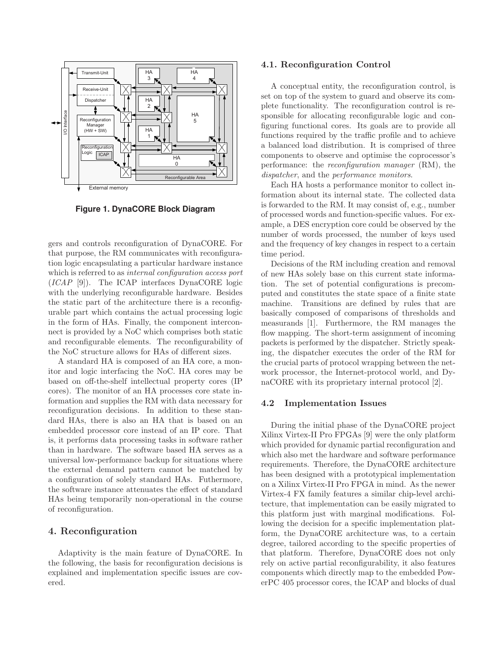

**Figure 1. DynaCORE Block Diagram**

gers and controls reconfiguration of DynaCORE. For that purpose, the RM communicates with reconfiguration logic encapsulating a particular hardware instance which is referred to as *internal configuration access port* (ICAP [9]). The ICAP interfaces DynaCORE logic with the underlying reconfigurable hardware. Besides the static part of the architecture there is a reconfigurable part which contains the actual processing logic in the form of HAs. Finally, the component interconnect is provided by a NoC which comprises both static and reconfigurable elements. The reconfigurability of the NoC structure allows for HAs of different sizes.

A standard HA is composed of an HA core, a monitor and logic interfacing the NoC. HA cores may be based on off-the-shelf intellectual property cores (IP cores). The monitor of an HA processes core state information and supplies the RM with data necessary for reconfiguration decisions. In addition to these standard HAs, there is also an HA that is based on an embedded processor core instead of an IP core. That is, it performs data processing tasks in software rather than in hardware. The software based HA serves as a universal low-performance backup for situations where the external demand pattern cannot be matched by a configuration of solely standard HAs. Futhermore, the software instance attenuates the effect of standard HAs being temporarily non-operational in the course of reconfiguration.

## **4. Reconfiguration**

Adaptivity is the main feature of DynaCORE. In the following, the basis for reconfiguration decisions is explained and implementation specific issues are covered.

#### **4.1. Reconfiguration Control**

A conceptual entity, the reconfiguration control, is set on top of the system to guard and observe its complete functionality. The reconfiguration control is responsible for allocating reconfigurable logic and configuring functional cores. Its goals are to provide all functions required by the traffic profile and to achieve a balanced load distribution. It is comprised of three components to observe and optimise the coprocessor's performance: the reconfiguration manager (RM), the dispatcher, and the *performance monitors*.

Each HA hosts a performance monitor to collect information about its internal state. The collected data is forwarded to the RM. It may consist of, e.g., number of processed words and function-specific values. For example, a DES encryption core could be observed by the number of words processed, the number of keys used and the frequency of key changes in respect to a certain time period.

Decisions of the RM including creation and removal of new HAs solely base on this current state information. The set of potential configurations is precomputed and constitutes the state space of a finite state machine. Transitions are defined by rules that are basically composed of comparisons of thresholds and measurands [1]. Furthermore, the RM manages the flow mapping. The short-term assignment of incoming packets is performed by the dispatcher. Strictly speaking, the dispatcher executes the order of the RM for the crucial parts of protocol wrapping between the network processor, the Internet-protocol world, and DynaCORE with its proprietary internal protocol [2].

#### **4.2 Implementation Issues**

During the initial phase of the DynaCORE project Xilinx Virtex-II Pro FPGAs [9] were the only platform which provided for dynamic partial reconfiguration and which also met the hardware and software performance requirements. Therefore, the DynaCORE architecture has been designed with a prototypical implementation on a Xilinx Virtex-II Pro FPGA in mind. As the newer Virtex-4 FX family features a similar chip-level architecture, that implementation can be easily migrated to this platform just with marginal modifications. Following the decision for a specific implementation platform, the DynaCORE architecture was, to a certain degree, tailored according to the specific properties of that platform. Therefore, DynaCORE does not only rely on active partial reconfigurability, it also features components which directly map to the embedded PowerPC 405 processor cores, the ICAP and blocks of dual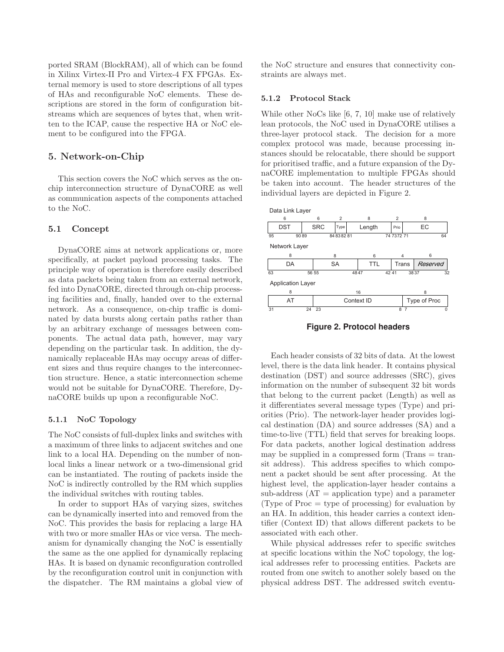ported SRAM (BlockRAM), all of which can be found in Xilinx Virtex-II Pro and Virtex-4 FX FPGAs. External memory is used to store descriptions of all types of HAs and reconfigurable NoC elements. These descriptions are stored in the form of configuration bitstreams which are sequences of bytes that, when written to the ICAP, cause the respective HA or NoC element to be configured into the FPGA.

# **5. Network-on-Chip**

This section covers the NoC which serves as the onchip interconnection structure of DynaCORE as well as communication aspects of the components attached to the NoC.

## **5.1 Concept**

DynaCORE aims at network applications or, more specifically, at packet payload processing tasks. The principle way of operation is therefore easily described as data packets being taken from an external network, fed into DynaCORE, directed through on-chip processing facilities and, finally, handed over to the external network. As a consequence, on-chip traffic is dominated by data bursts along certain paths rather than by an arbitrary exchange of messages between components. The actual data path, however, may vary depending on the particular task. In addition, the dynamically replaceable HAs may occupy areas of different sizes and thus require changes to the interconnection structure. Hence, a static interconnection scheme would not be suitable for DynaCORE. Therefore, DynaCORE builds up upon a reconfigurable NoC.

## **5.1.1 NoC Topology**

The NoC consists of full-duplex links and switches with a maximum of three links to adjacent switches and one link to a local HA. Depending on the number of nonlocal links a linear network or a two-dimensional grid can be instantiated. The routing of packets inside the NoC is indirectly controlled by the RM which supplies the individual switches with routing tables.

In order to support HAs of varying sizes, switches can be dynamically inserted into and removed from the NoC. This provides the basis for replacing a large HA with two or more smaller HAs or vice versa. The mechanism for dynamically changing the NoC is essentially the same as the one applied for dynamically replacing HAs. It is based on dynamic reconfiguration controlled by the reconfiguration control unit in conjunction with the dispatcher. The RM maintains a global view of

the NoC structure and ensures that connectivity constraints are always met.

## **5.1.2 Protocol Stack**

While other NoCs like [6, 7, 10] make use of relatively lean protocols, the NoC used in DynaCORE utilises a three-layer protocol stack. The decision for a more complex protocol was made, because processing instances should be relocatable, there should be support for prioritised traffic, and a future expansion of the DynaCORE implementation to multiple FPGAs should be taken into account. The header structures of the individual layers are depicted in Figure 2.



**Figure 2. Protocol headers**

Each header consists of 32 bits of data. At the lowest level, there is the data link header. It contains physical destination (DST) and source addresses (SRC), gives information on the number of subsequent 32 bit words that belong to the current packet (Length) as well as it differentiates several message types (Type) and priorities (Prio). The network-layer header provides logical destination (DA) and source addresses (SA) and a time-to-live (TTL) field that serves for breaking loops. For data packets, another logical destination address may be supplied in a compressed form  $(Trans = tran$ sit address). This address specifies to which component a packet should be sent after processing. At the highest level, the application-layer header contains a sub-address  $(AT =$  application type) and a parameter (Type of  $Proc = type of processing$ ) for evaluation by an HA. In addition, this header carries a context identifier (Context ID) that allows different packets to be associated with each other.

While physical addresses refer to specific switches at specific locations within the NoC topology, the logical addresses refer to processing entities. Packets are routed from one switch to another solely based on the physical address DST. The addressed switch eventu-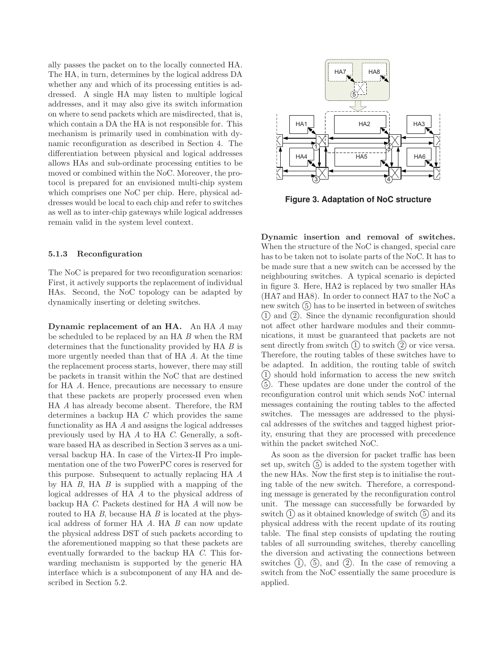ally passes the packet on to the locally connected HA. The HA, in turn, determines by the logical address DA whether any and which of its processing entities is addressed. A single HA may listen to multiple logical addresses, and it may also give its switch information on where to send packets which are misdirected, that is, which contain a DA the HA is not responsible for. This mechanism is primarily used in combination with dynamic reconfiguration as described in Section 4. The differentiation between physical and logical addresses allows HAs and sub-ordinate processing entities to be moved or combined within the NoC. Moreover, the protocol is prepared for an envisioned multi-chip system which comprises one NoC per chip. Here, physical addresses would be local to each chip and refer to switches as well as to inter-chip gateways while logical addresses remain valid in the system level context.

### **5.1.3 Reconfiguration**

The NoC is prepared for two reconfiguration scenarios: First, it actively supports the replacement of individual HAs. Second, the NoC topology can be adapted by dynamically inserting or deleting switches.

**Dynamic replacement of an HA.** An HA A may be scheduled to be replaced by an HA B when the RM determines that the functionality provided by HA B is more urgently needed than that of HA A. At the time the replacement process starts, however, there may still be packets in transit within the NoC that are destined for HA A. Hence, precautions are necessary to ensure that these packets are properly processed even when HA A has already become absent. Therefore, the RM determines a backup HA C which provides the same functionality as HA A and assigns the logical addresses previously used by HA A to HA C. Generally, a software based HA as described in Section 3 serves as a universal backup HA. In case of the Virtex-II Pro implementation one of the two PowerPC cores is reserved for this purpose. Subsequent to actually replacing HA A by HA  $B$ , HA  $B$  is supplied with a mapping of the logical addresses of HA A to the physical address of backup HA C. Packets destined for HA A will now be routed to HA  $B$ , because HA  $B$  is located at the physical address of former HA A. HA B can now update the physical address DST of such packets according to the aforementioned mapping so that these packets are eventually forwarded to the backup HA C. This forwarding mechanism is supported by the generic HA interface which is a subcomponent of any HA and described in Section 5.2.



**Figure 3. Adaptation of NoC structure**

**Dynamic insertion and removal of switches.** When the structure of the NoC is changed, special care has to be taken not to isolate parts of the NoC. It has to be made sure that a new switch can be accessed by the neighbouring switches. A typical scenario is depicted in figure 3. Here, HA2 is replaced by two smaller HAs (HA7 and HA8). In order to connect HA7 to the NoC a new switch  $(5)$  has to be inserted in between of switches  $(1)$  and  $(2)$ . Since the dynamic reconfiguration should not affect other hardware modules and their communications, it must be guaranteed that packets are not sent directly from switch  $(1)$  to switch  $(2)$  or vice versa. Therefore, the routing tables of these switches have to be adapted. In addition, the routing table of switch 1 should hold information to access the new switch 5 . These updates are done under the control of the reconfiguration control unit which sends NoC internal messages containing the routing tables to the affected switches. The messages are addressed to the physical addresses of the switches and tagged highest priority, ensuring that they are processed with precedence within the packet switched NoC.

As soon as the diversion for packet traffic has been set up, switch  $(5)$  is added to the system together with the new HAs. Now the first step is to initialise the routing table of the new switch. Therefore, a corresponding message is generated by the reconfiguration control unit. The message can successfully be forwarded by switch  $(1)$  as it obtained knowledge of switch  $(5)$  and its physical address with the recent update of its routing table. The final step consists of updating the routing tables of all surrounding switches, thereby cancelling the diversion and activating the connections between switches  $(1)$ ,  $(5)$ , and  $(2)$ . In the case of removing a switch from the NoC essentially the same procedure is applied.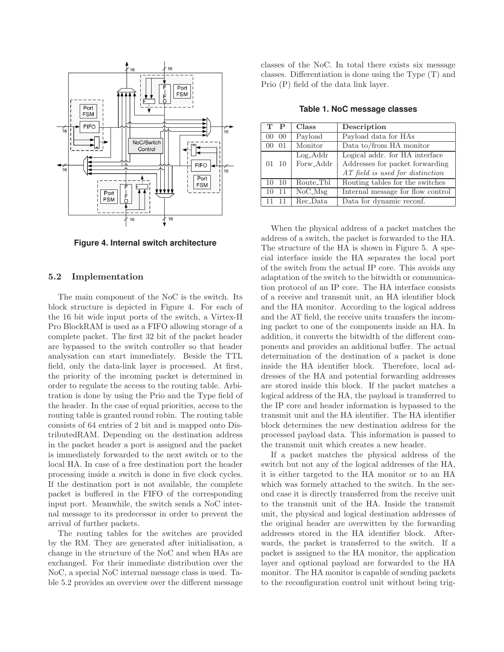

**Figure 4. Internal switch architecture**

#### **5.2 Implementation**

The main component of the NoC is the switch. Its block structure is depicted in Figure 4. For each of the 16 bit wide input ports of the switch, a Virtex-II Pro BlockRAM is used as a FIFO allowing storage of a complete packet. The first 32 bit of the packet header are bypassed to the switch controller so that header analysation can start immediately. Beside the TTL field, only the data-link layer is processed. At first, the priority of the incoming packet is determined in order to regulate the access to the routing table. Arbitration is done by using the Prio and the Type field of the header. In the case of equal priorities, access to the routing table is granted round robin. The routing table consists of 64 entries of 2 bit and is mapped onto DistributedRAM. Depending on the destination address in the packet header a port is assigned and the packet is immediately forwarded to the next switch or to the local HA. In case of a free destination port the header processing inside a switch is done in five clock cycles. If the destination port is not available, the complete packet is buffered in the FIFO of the corresponding input port. Meanwhile, the switch sends a NoC internal message to its predecessor in order to prevent the arrival of further packets.

The routing tables for the switches are provided by the RM. They are generated after initialisation, a change in the structure of the NoC and when HAs are exchanged. For their immediate distribution over the NoC, a special NoC internal message class is used. Table 5.2 provides an overview over the different message classes of the NoC. In total there exists six message classes. Differentiation is done using the Type (T) and Prio (P) field of the data link layer.

**Table 1. NoC message classes**

| T P   |                | Class       | Description                       |
|-------|----------------|-------------|-----------------------------------|
| 00    | 0 <sup>0</sup> | Payload     | Payload data for HAs              |
| 00    | 01             | Monitor     | Data to/from HA monitor           |
|       |                | $Log\_Addr$ | Logical addr. for HA interface    |
| 01 10 |                | Forw_Addr   | Addresses for packet forwarding   |
|       |                |             | AT field is used for distinction  |
| 10 10 |                | Route_Tbl   | Routing tables for the switches   |
| 10    | -11            | $NoC_Msg$   | Internal message for flow control |
|       | 11             | Rec_Data    | Data for dynamic reconf.          |

When the physical address of a packet matches the address of a switch, the packet is forwarded to the HA. The structure of the HA is shown in Figure 5. A special interface inside the HA separates the local port of the switch from the actual IP core. This avoids any adaptation of the switch to the bitwidth or communication protocol of an IP core. The HA interface consists of a receive and transmit unit, an HA identifier block and the HA monitor. According to the logical address and the AT field, the receive units transfers the incoming packet to one of the components inside an HA. In addition, it converts the bitwidth of the different components and provides an additional buffer. The actual determination of the destination of a packet is done inside the HA identifier block. Therefore, local addresses of the HA and potential forwarding addresses are stored inside this block. If the packet matches a logical address of the HA, the payload is transferred to the IP core and header information is bypassed to the transmit unit and the HA identifier. The HA identifier block determines the new destination address for the processed payload data. This information is passed to the transmit unit which creates a new header.

If a packet matches the physical address of the switch but not any of the logical addresses of the HA, it is either targeted to the HA monitor or to an HA which was formely attached to the switch. In the second case it is directly transferred from the receive unit to the transmit unit of the HA. Inside the transmit unit, the physical and logical destination addresses of the original header are overwitten by the forwarding addresses stored in the HA identifier block. Afterwards, the packet is transferred to the switch. If a packet is assigned to the HA monitor, the application layer and optional payload are forwarded to the HA monitor. The HA monitor is capable of sending packets to the reconfiguration control unit without being trig-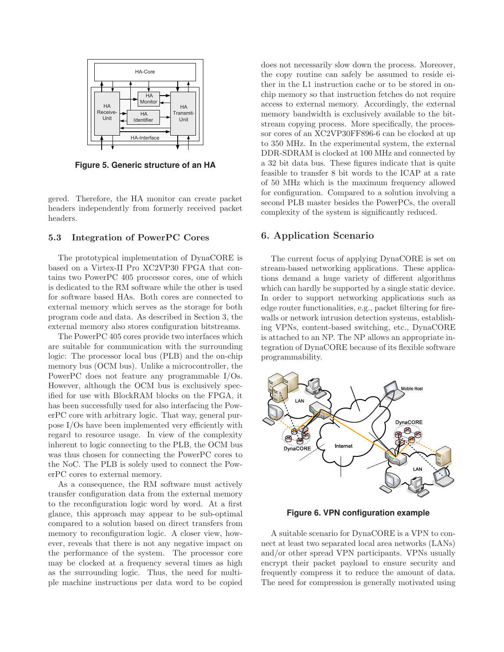

**Figure 5. Generic structure of an HA**

gered. Therefore, the HA monitor can create packet headers independently from formerly received packet headers.

#### **5.3 Integration of PowerPC Cores**

The prototypical implementation of DynaCORE is based on a Virtex-II Pro XC2VP30 FPGA that contains two PowerPC 405 processor cores, one of which is dedicated to the RM software while the other is used for software based HAs. Both cores are connected to external memory which serves as the storage for both program code and data. As described in Section 3, the external memory also stores configuration bitstreams.

The PowerPC 405 cores provide two interfaces which are suitable for communication with the surrounding logic: The processor local bus (PLB) and the on-chip memory bus (OCM bus). Unlike a microcontroller, the PowerPC does not feature any programmable I/Os. However, although the OCM bus is exclusively specified for use with BlockRAM blocks on the FPGA, it has been successfully used for also interfacing the PowerPC core with arbitrary logic. That way, general purpose I/Os have been implemented very efficiently with regard to resource usage. In view of the complexity inherent to logic connecting to the PLB, the OCM bus was thus chosen for connecting the PowerPC cores to the NoC. The PLB is solely used to connect the PowerPC cores to external memory.

As a consequence, the RM software must actively transfer configuration data from the external memory to the reconfiguration logic word by word. At a first glance, this approach may appear to be sub-optimal compared to a solution based on direct transfers from memory to reconfiguration logic. A closer view, however, reveals that there is not any negative impact on the performance of the system. The processor core may be clocked at a frequency several times as high as the surrounding logic. Thus, the need for multiple machine instructions per data word to be copied

does not necessarily slow down the process. Moreover, the copy routine can safely be assumed to reside either in the L1 instruction cache or to be stored in onchip memory so that instruction fetches do not require access to external memory. Accordingly, the external memory bandwidth is exclusively available to the bitstream copying process. More specifically, the processor cores of an XC2VP30FF896-6 can be clocked at up to 350 MHz. In the experimental system, the external DDR-SDRAM is clocked at 100 MHz and connected by a 32 bit data bus. These figures indicate that is quite feasible to transfer 8 bit words to the ICAP at a rate of 50 MHz which is the maximum frequency allowed for configuration. Compared to a solution involving a second PLB master besides the PowerPCs, the overall complexity of the system is significantly reduced.

# **6. Application Scenario**

The current focus of applying DynaCORE is set on stream-based networking applications. These applications demand a huge variety of different algorithms which can hardly be supported by a single static device. In order to support networking applications such as edge router functionalities, e.g., packet filtering for firewalls or network intrusion detection systems, establishing VPNs, content-based switching, etc., DynaCORE is attached to an NP. The NP allows an appropriate integration of DynaCORE because of its flexible software programmability.



**Figure 6. VPN configuration example**

A suitable scenario for DynaCORE is a VPN to connect at least two separated local area networks (LANs) and/or other spread VPN participants. VPNs usually encrypt their packet payload to ensure security and frequently compress it to reduce the amount of data. The need for compression is generally motivated using